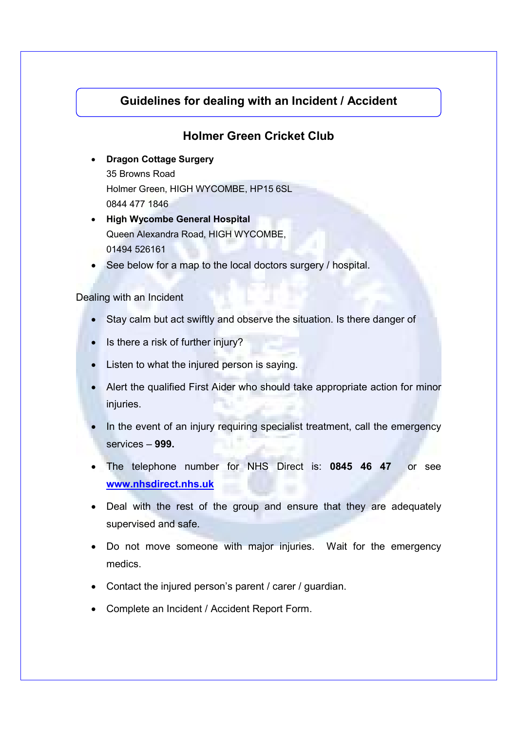## **Guidelines for dealing with an Incident / Accident**

## **Holmer Green Cricket Club**

• **Dragon Cottage Surgery** 

35 Browns Road Holmer Green, HIGH WYCOMBE, HP15 6SL 0844 477 1846

- **High Wycombe General Hospital**  Queen Alexandra Road, HIGH WYCOMBE, 01494 526161
- See below for a map to the local doctors surgery / hospital.

## Dealing with an Incident

- Stay calm but act swiftly and observe the situation. Is there danger of
- Is there a risk of further injury?
- Listen to what the injured person is saying.
- Alert the qualified First Aider who should take appropriate action for minor injuries.
- In the event of an injury requiring specialist treatment, call the emergency services – **999.**
- The telephone number for NHS Direct is: **0845 46 47** or see **www.nhsdirect.nhs.uk**
- Deal with the rest of the group and ensure that they are adequately supervised and safe.
- Do not move someone with major injuries. Wait for the emergency medics.
- Contact the injured person's parent / carer / guardian.
- Complete an Incident / Accident Report Form.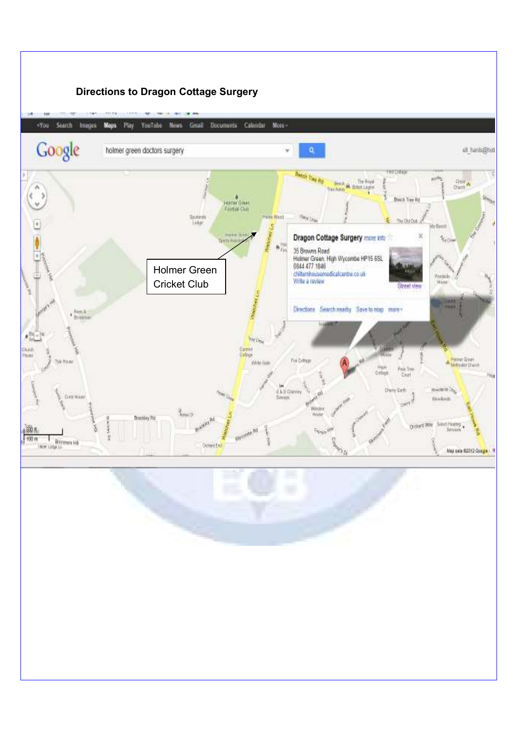